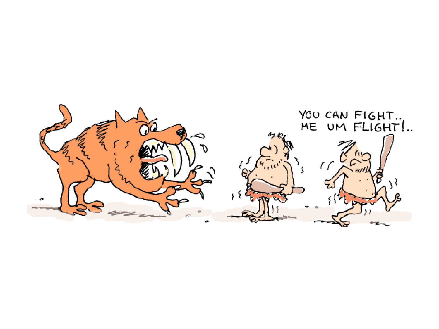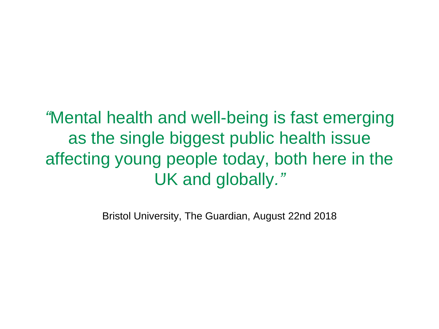*"*Mental health and well-being is fast emerging as the single biggest public health issue affecting young people today, both here in the UK and globally*."* 

Bristol University, The Guardian, August 22nd 2018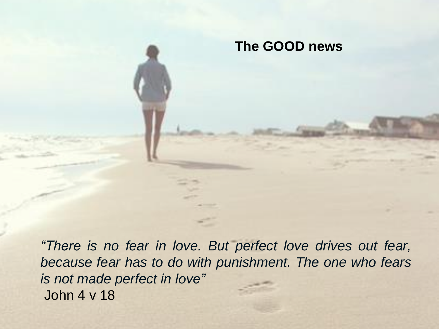## **The GOOD news**

*"There is no fear in love. But perfect love drives out fear, because fear has to do with punishment. The one who fears is not made perfect in love"* John 4 v 18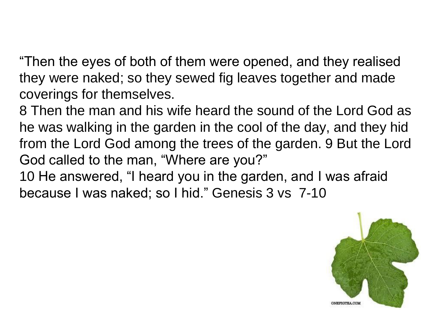"Then the eyes of both of them were opened, and they realised they were naked; so they sewed fig leaves together and made coverings for themselves.

8 Then the man and his wife heard the sound of the Lord God as he was walking in the garden in the cool of the day, and they hid from the Lord God among the trees of the garden. 9 But the Lord God called to the man, "Where are you?"

10 He answered, "I heard you in the garden, and I was afraid because I was naked; so I hid." Genesis 3 vs 7-10

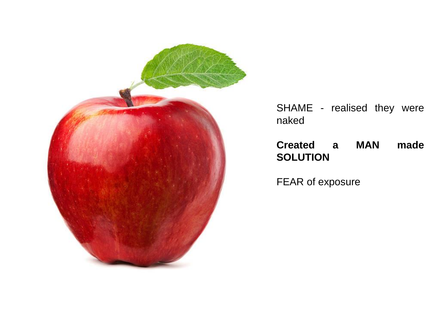

SHAME - realised they were naked

### **Created a MAN made SOLUTION**

FEAR of exposure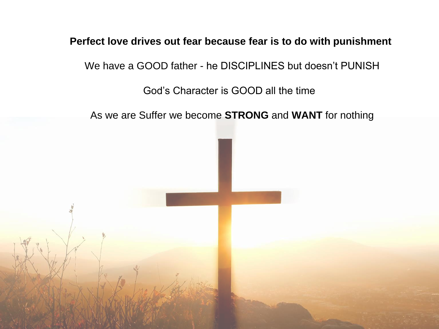#### **Perfect love drives out fear because fear is to do with punishment**

We have a GOOD father - he DISCIPLINES but doesn't PUNISH

God's Character is GOOD all the time

As we are Suffer we become **STRONG** and **WANT** for nothing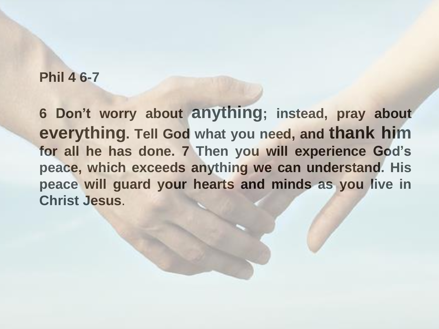### **Phil 4 6-7**

**6 Don't worry about anything; instead, pray about everything. Tell God what you need, and thank him for all he has done. 7 Then you will experience God's peace, which exceeds anything we can understand. His peace will guard your hearts and minds as you live in Christ Jesus**.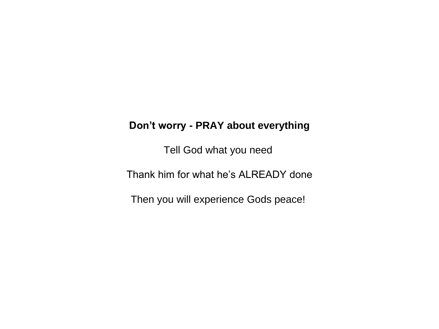#### **Don't worry - PRAY about everything**

Tell God what you need

Thank him for what he's ALREADY done

Then you will experience Gods peace!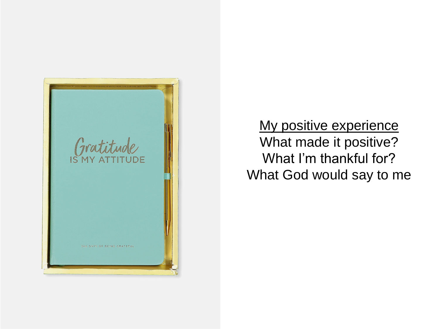

My positive experience What made it positive? What I'm thankful for? What God would say to me